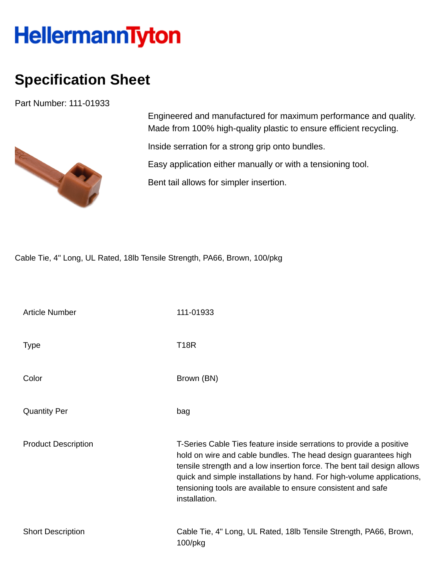## **HellermannTyton**

## **Specification Sheet**

Part Number: 111-01933



Engineered and manufactured for maximum performance and quality. Made from 100% high-quality plastic to ensure efficient recycling.

Inside serration for a strong grip onto bundles.

Easy application either manually or with a tensioning tool.

Bent tail allows for simpler insertion.

Cable Tie, 4" Long, UL Rated, 18lb Tensile Strength, PA66, Brown, 100/pkg

| <b>Article Number</b>      | 111-01933                                                                                                                                                                                                                                                                                                                                                                   |
|----------------------------|-----------------------------------------------------------------------------------------------------------------------------------------------------------------------------------------------------------------------------------------------------------------------------------------------------------------------------------------------------------------------------|
| <b>Type</b>                | <b>T18R</b>                                                                                                                                                                                                                                                                                                                                                                 |
| Color                      | Brown (BN)                                                                                                                                                                                                                                                                                                                                                                  |
| <b>Quantity Per</b>        | bag                                                                                                                                                                                                                                                                                                                                                                         |
| <b>Product Description</b> | T-Series Cable Ties feature inside serrations to provide a positive<br>hold on wire and cable bundles. The head design guarantees high<br>tensile strength and a low insertion force. The bent tail design allows<br>quick and simple installations by hand. For high-volume applications,<br>tensioning tools are available to ensure consistent and safe<br>installation. |
| <b>Short Description</b>   | Cable Tie, 4" Long, UL Rated, 18lb Tensile Strength, PA66, Brown,<br>100/pkg                                                                                                                                                                                                                                                                                                |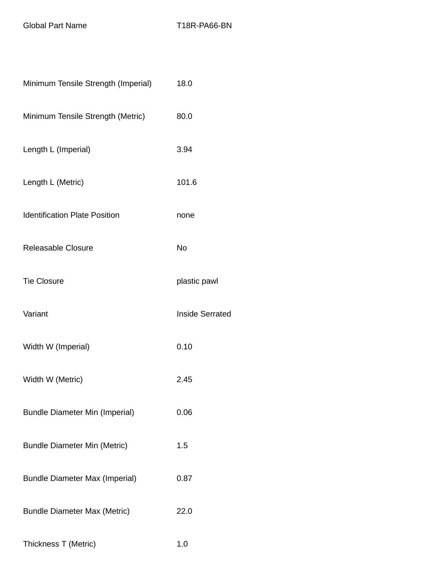Global Part Name T18R-PA66-BN

| Minimum Tensile Strength (Imperial)   | 18.0                   |
|---------------------------------------|------------------------|
| Minimum Tensile Strength (Metric)     | 80.0                   |
| Length L (Imperial)                   | 3.94                   |
| Length L (Metric)                     | 101.6                  |
| <b>Identification Plate Position</b>  | none                   |
| Releasable Closure                    | <b>No</b>              |
| <b>Tie Closure</b>                    | plastic pawl           |
| Variant                               | <b>Inside Serrated</b> |
| Width W (Imperial)                    | 0.10                   |
| Width W (Metric)                      | 2.45                   |
| <b>Bundle Diameter Min (Imperial)</b> | 0.06                   |
| <b>Bundle Diameter Min (Metric)</b>   | 1.5                    |
| <b>Bundle Diameter Max (Imperial)</b> | 0.87                   |
| <b>Bundle Diameter Max (Metric)</b>   | 22.0                   |
| Thickness T (Metric)                  | 1.0                    |